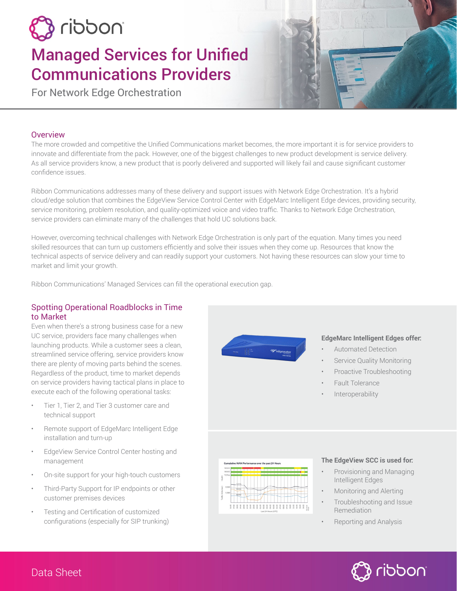# inoddin f

# Managed Services for Unified Communications Providers

For Network Edge Orchestration

# **Overview**

The more crowded and competitive the Unified Communications market becomes, the more important it is for service providers to innovate and differentiate from the pack. However, one of the biggest challenges to new product development is service delivery. As all service providers know, a new product that is poorly delivered and supported will likely fail and cause significant customer confidence issues.

Ribbon Communications addresses many of these delivery and support issues with Network Edge Orchestration. It's a hybrid cloud/edge solution that combines the EdgeView Service Control Center with EdgeMarc Intelligent Edge devices, providing security, service monitoring, problem resolution, and quality-optimized voice and video traffic. Thanks to Network Edge Orchestration, service providers can eliminate many of the challenges that hold UC solutions back.

However, overcoming technical challenges with Network Edge Orchestration is only part of the equation. Many times you need skilled resources that can turn up customers efficiently and solve their issues when they come up. Resources that know the technical aspects of service delivery and can readily support your customers. Not having these resources can slow your time to market and limit your growth.

Ribbon Communications' Managed Services can fill the operational execution gap.

# Spotting Operational Roadblocks in Time to Market

Even when there's a strong business case for a new UC service, providers face many challenges when launching products. While a customer sees a clean, streamlined service offering, service providers know there are plenty of moving parts behind the scenes. Regardless of the product, time to market depends on service providers having tactical plans in place to execute each of the following operational tasks:

- Tier 1, Tier 2, and Tier 3 customer care and technical support
- Remote support of EdgeMarc Intelligent Edge installation and turn-up
- EdgeView Service Control Center hosting and management
- On-site support for your high-touch customers
- Third-Party Support for IP endpoints or other customer premises devices
- Testing and Certification of customized configurations (especially for SIP trunking)



#### **EdgeMarc Intelligent Edges offer:**

- Automated Detection
- Service Quality Monitoring
- Proactive Troubleshooting
- Fault Tolerance
- **Interoperability**



#### **The EdgeView SCC is used for:**

- Provisioning and Managing Intelligent Edges
- Monitoring and Alerting
- Troubleshooting and Issue Remediation
- Reporting and Analysis